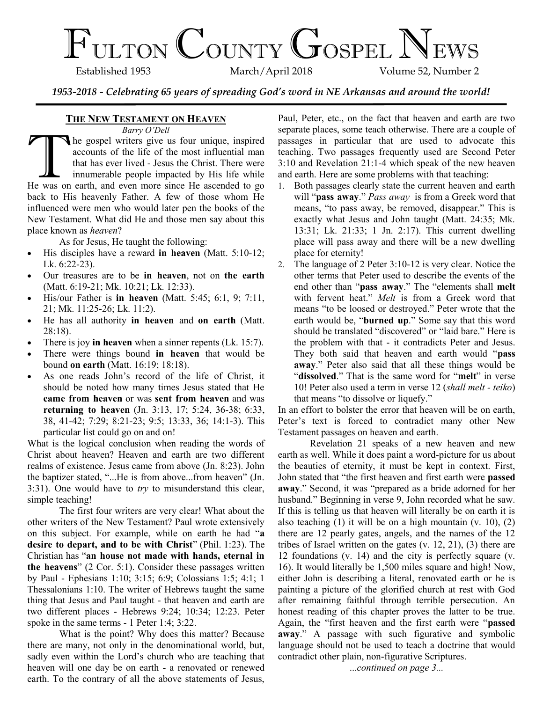# $\mathcal{F}_{\text{ULTON}}$  COUNTY GOSPEL NEWS

Volume 52, Number 2

*1953-2018 - Celebrating 65 years of spreading God's word in NE Arkansas and around the world!*

# **THE NEW TESTAMENT ON HEAVEN**

*Barry O'Dell*

Barry O Dell<br>accounts of the life of the most influential man<br>that has ever lived - Jesus the Christ. There were<br>innumerable people impacted by His life while<br>He was on earth, and even more since He ascended to go he gospel writers give us four unique, inspired accounts of the life of the most influential man that has ever lived - Jesus the Christ. There were innumerable people impacted by His life while back to His heavenly Father. A few of those whom He influenced were men who would later pen the books of the New Testament. What did He and those men say about this place known as *heaven*?

As for Jesus, He taught the following:

- His disciples have a reward **in heaven** (Matt. 5:10-12; Lk. 6:22-23).
- Our treasures are to be **in heaven**, not on **the earth** (Matt. 6:19-21; Mk. 10:21; Lk. 12:33).
- His/our Father is **in heaven** (Matt. 5:45; 6:1, 9; 7:11, 21; Mk. 11:25-26; Lk. 11:2).
- He has all authority **in heaven** and **on earth** (Matt. 28:18).
- There is joy **in heaven** when a sinner repents (Lk. 15:7).
- There were things bound **in heaven** that would be bound **on earth** (Matt. 16:19; 18:18).
- As one reads John's record of the life of Christ, it should be noted how many times Jesus stated that He **came from heaven** or was **sent from heaven** and was **returning to heaven** (Jn. 3:13, 17; 5:24, 36-38; 6:33, 38, 41-42; 7:29; 8:21-23; 9:5; 13:33, 36; 14:1-3). This particular list could go on and on!

What is the logical conclusion when reading the words of Christ about heaven? Heaven and earth are two different realms of existence. Jesus came from above (Jn. 8:23). John the baptizer stated, "...He is from above...from heaven" (Jn. 3:31). One would have to *try* to misunderstand this clear, simple teaching!

The first four writers are very clear! What about the other writers of the New Testament? Paul wrote extensively on this subject. For example, while on earth he had "**a desire to depart, and to be with Christ**" (Phil. 1:23). The Christian has "**an house not made with hands, eternal in the heavens**" (2 Cor. 5:1). Consider these passages written by Paul - Ephesians 1:10; 3:15; 6:9; Colossians 1:5; 4:1; 1 Thessalonians 1:10. The writer of Hebrews taught the same thing that Jesus and Paul taught - that heaven and earth are two different places - Hebrews 9:24; 10:34; 12:23. Peter spoke in the same terms - 1 Peter 1:4; 3:22.

What is the point? Why does this matter? Because there are many, not only in the denominational world, but, sadly even within the Lord's church who are teaching that heaven will one day be on earth - a renovated or renewed earth. To the contrary of all the above statements of Jesus,

Paul, Peter, etc., on the fact that heaven and earth are two separate places, some teach otherwise. There are a couple of passages in particular that are used to advocate this teaching. Two passages frequently used are Second Peter 3:10 and Revelation 21:1-4 which speak of the new heaven and earth. Here are some problems with that teaching:

- 1. Both passages clearly state the current heaven and earth will "**pass away**." *Pass away* is from a Greek word that means, "to pass away, be removed, disappear." This is exactly what Jesus and John taught (Matt. 24:35; Mk. 13:31; Lk. 21:33; 1 Jn. 2:17). This current dwelling place will pass away and there will be a new dwelling place for eternity!
- 2. The language of 2 Peter 3:10-12 is very clear. Notice the other terms that Peter used to describe the events of the end other than "**pass away**." The "elements shall **melt** with fervent heat." *Melt* is from a Greek word that means "to be loosed or destroyed." Peter wrote that the earth would be, "**burned up**." Some say that this word should be translated "discovered" or "laid bare." Here is the problem with that - it contradicts Peter and Jesus. They both said that heaven and earth would "**pass away**." Peter also said that all these things would be "**dissolved**." That is the same word for "**melt**" in verse 10! Peter also used a term in verse 12 (*shall melt - teiko*) that means "to dissolve or liquefy."

In an effort to bolster the error that heaven will be on earth, Peter's text is forced to contradict many other New Testament passages on heaven and earth.

Revelation 21 speaks of a new heaven and new earth as well. While it does paint a word-picture for us about the beauties of eternity, it must be kept in context. First, John stated that "the first heaven and first earth were **passed away**." Second, it was "prepared as a bride adorned for her husband." Beginning in verse 9, John recorded what he saw. If this is telling us that heaven will literally be on earth it is also teaching  $(1)$  it will be on a high mountain  $(v. 10)$ ,  $(2)$ there are 12 pearly gates, angels, and the names of the 12 tribes of Israel written on the gates (v. 12, 21), (3) there are 12 foundations (v. 14) and the city is perfectly square (v. 16). It would literally be 1,500 miles square and high! Now, either John is describing a literal, renovated earth or he is painting a picture of the glorified church at rest with God after remaining faithful through terrible persecution. An honest reading of this chapter proves the latter to be true. Again, the "first heaven and the first earth were "**passed away**." A passage with such figurative and symbolic language should not be used to teach a doctrine that would contradict other plain, non-figurative Scriptures.

...*continued on page 3...*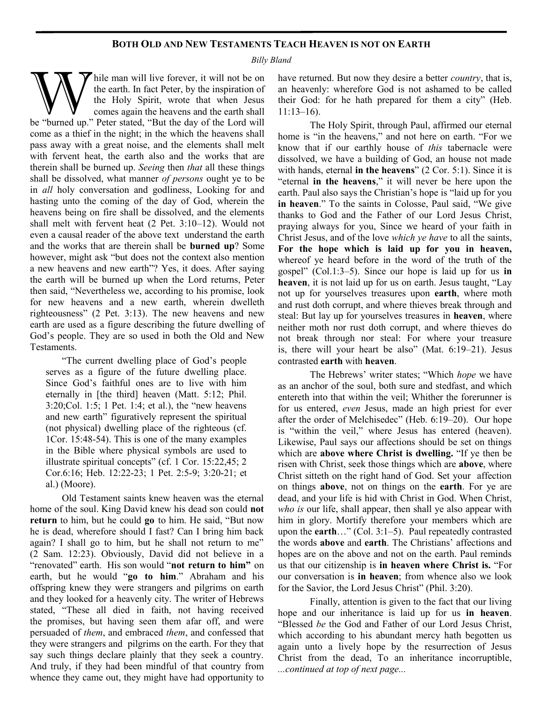# **BOTH OLD AND NEW TESTAMENTS TEACH HEAVEN IS NOT ON EARTH**

*Billy Bland*

W hile man will live forever, it will not be on the earth. In fact Peter, by the inspiration of the Holy Spirit, wrote that when Jesus comes again the heavens and the earth shall be "burned up." Peter stated, "But the day hile man will live forever, it will not be on the earth. In fact Peter, by the inspiration of the Holy Spirit, wrote that when Jesus comes again the heavens and the earth shall come as a thief in the night; in the which the heavens shall pass away with a great noise, and the elements shall melt with fervent heat, the earth also and the works that are therein shall be burned up. *Seeing* then *that* all these things shall be dissolved, what manner *of persons* ought ye to be in *all* holy conversation and godliness, Looking for and hasting unto the coming of the day of God, wherein the heavens being on fire shall be dissolved, and the elements shall melt with fervent heat (2 Pet. 3:10–12). Would not even a causal reader of the above text understand the earth and the works that are therein shall be **burned up**? Some however, might ask "but does not the context also mention a new heavens and new earth"? Yes, it does. After saying the earth will be burned up when the Lord returns, Peter then said, "Nevertheless we, according to his promise, look for new heavens and a new earth, wherein dwelleth righteousness" (2 Pet. 3:13). The new heavens and new earth are used as a figure describing the future dwelling of God's people. They are so used in both the Old and New Testaments.

"The current dwelling place of God's people serves as a figure of the future dwelling place. Since God's faithful ones are to live with him eternally in [the third] heaven (Matt. 5:12; Phil. 3:20;Col. 1:5; 1 Pet. 1:4; et al.), the "new heavens and new earth" figuratively represent the spiritual (not physical) dwelling place of the righteous (cf. 1Cor. 15:48-54). This is one of the many examples in the Bible where physical symbols are used to illustrate spiritual concepts" (cf. 1 Cor. 15:22,45; 2 Cor.6:16; Heb. 12:22-23; 1 Pet. 2:5-9; 3:20-21; et al.) (Moore).

Old Testament saints knew heaven was the eternal home of the soul. King David knew his dead son could **not return** to him, but he could **go** to him. He said, "But now he is dead, wherefore should I fast? Can I bring him back again? I shall go to him, but he shall not return to me" (2 Sam. 12:23). Obviously, David did not believe in a "renovated" earth. His son would "**not return to him"** on earth, but he would "**go to him**." Abraham and his offspring knew they were strangers and pilgrims on earth and they looked for a heavenly city. The writer of Hebrews stated, "These all died in faith, not having received the promises, but having seen them afar off, and were persuaded of *them*, and embraced *them*, and confessed that they were strangers and pilgrims on the earth. For they that say such things declare plainly that they seek a country. And truly, if they had been mindful of that country from whence they came out, they might have had opportunity to

have returned. But now they desire a better *country*, that is, an heavenly: wherefore God is not ashamed to be called their God: for he hath prepared for them a city" (Heb. 11:13–16).

The Holy Spirit, through Paul, affirmed our eternal home is "in the heavens," and not here on earth. "For we know that if our earthly house of *this* tabernacle were dissolved, we have a building of God, an house not made with hands, eternal **in the heavens**" (2 Cor. 5:1). Since it is "eternal **in the heavens**," it will never be here upon the earth. Paul also says the Christian's hope is "laid up for you **in heaven**." To the saints in Colosse, Paul said, "We give thanks to God and the Father of our Lord Jesus Christ, praying always for you, Since we heard of your faith in Christ Jesus, and of the love *which ye have* to all the saints, **For the hope which is laid up for you in heaven,** whereof ye heard before in the word of the truth of the gospel" (Col.1:3–5). Since our hope is laid up for us **in heaven**, it is not laid up for us on earth. Jesus taught, "Lay not up for yourselves treasures upon **earth**, where moth and rust doth corrupt, and where thieves break through and steal: But lay up for yourselves treasures in **heaven**, where neither moth nor rust doth corrupt, and where thieves do not break through nor steal: For where your treasure is, there will your heart be also" (Mat. 6:19–21). Jesus contrasted **earth** with **heaven**.

The Hebrews' writer states; "Which *hope* we have as an anchor of the soul, both sure and stedfast, and which entereth into that within the veil; Whither the forerunner is for us entered, *even* Jesus, made an high priest for ever after the order of Melchisedec" (Heb. 6:19–20). Our hope is "within the veil," where Jesus has entered (heaven). Likewise, Paul says our affections should be set on things which are **above where Christ is dwelling.** "If ye then be risen with Christ, seek those things which are **above**, where Christ sitteth on the right hand of God. Set your affection on things **above**, not on things on the **earth**. For ye are dead, and your life is hid with Christ in God. When Christ, *who is* our life, shall appear, then shall ye also appear with him in glory. Mortify therefore your members which are upon the **earth**…" (Col. 3:1–5). Paul repeatedly contrasted the words **above** and **earth**. The Christians' affections and hopes are on the above and not on the earth. Paul reminds us that our citizenship is **in heaven where Christ is.** "For our conversation is **in heaven**; from whence also we look for the Savior, the Lord Jesus Christ" (Phil. 3:20).

Finally, attention is given to the fact that our living hope and our inheritance is laid up for us **in heaven**. "Blessed *be* the God and Father of our Lord Jesus Christ, which according to his abundant mercy hath begotten us again unto a lively hope by the resurrection of Jesus Christ from the dead, To an inheritance incorruptible, *...continued at top of next page...*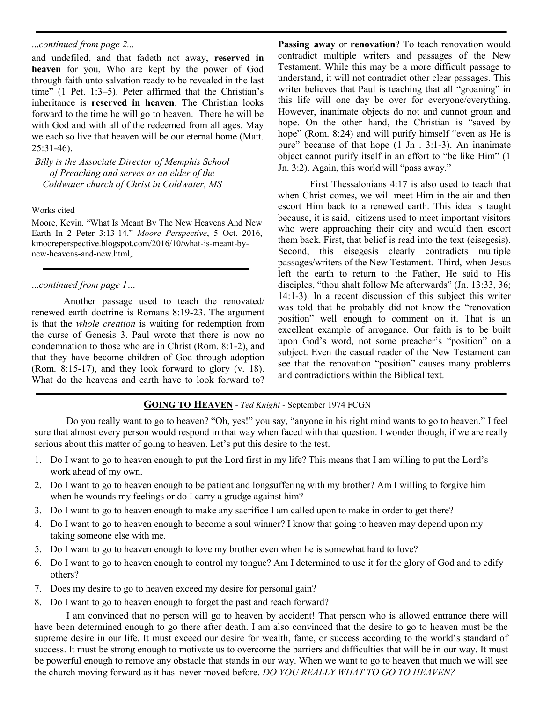# ...*continued from page 2...*

and undefiled, and that fadeth not away, **reserved in heaven** for you, Who are kept by the power of God through faith unto salvation ready to be revealed in the last time" (1 Pet. 1:3–5). Peter affirmed that the Christian's inheritance is **reserved in heaven**. The Christian looks forward to the time he will go to heaven. There he will be with God and with all of the redeemed from all ages. May we each so live that heaven will be our eternal home (Matt. 25:31-46).

*Billy is the Associate Director of Memphis School of Preaching and serves as an elder of the Coldwater church of Christ in Coldwater, MS*

## Works cited

Moore, Kevin. "What Is Meant By The New Heavens And New Earth In 2 Peter 3:13-14." *Moore Perspective*, 5 Oct. 2016, kmooreperspective.blogspot.com/2016/10/what-is-meant-bynew-heavens-and-new.html,.

# ...*continued from page 1…*

Another passage used to teach the renovated/ renewed earth doctrine is Romans 8:19-23. The argument is that the *whole creation* is waiting for redemption from the curse of Genesis 3. Paul wrote that there is now no condemnation to those who are in Christ (Rom. 8:1-2), and that they have become children of God through adoption (Rom. 8:15-17), and they look forward to glory (v. 18). What do the heavens and earth have to look forward to?

**Passing away** or **renovation**? To teach renovation would contradict multiple writers and passages of the New Testament. While this may be a more difficult passage to understand, it will not contradict other clear passages. This writer believes that Paul is teaching that all "groaning" in this life will one day be over for everyone/everything. However, inanimate objects do not and cannot groan and hope. On the other hand, the Christian is "saved by hope" (Rom. 8:24) and will purify himself "even as He is pure" because of that hope (1 Jn . 3:1-3). An inanimate object cannot purify itself in an effort to "be like Him" (1 Jn. 3:2). Again, this world will "pass away."

First Thessalonians 4:17 is also used to teach that when Christ comes, we will meet Him in the air and then escort Him back to a renewed earth. This idea is taught because, it is said, citizens used to meet important visitors who were approaching their city and would then escort them back. First, that belief is read into the text (eisegesis). Second, this eisegesis clearly contradicts multiple passages/writers of the New Testament. Third, when Jesus left the earth to return to the Father, He said to His disciples, "thou shalt follow Me afterwards" (Jn. 13:33, 36; 14:1-3). In a recent discussion of this subject this writer was told that he probably did not know the "renovation position" well enough to comment on it. That is an excellent example of arrogance. Our faith is to be built upon God's word, not some preacher's "position" on a subject. Even the casual reader of the New Testament can see that the renovation "position" causes many problems and contradictions within the Biblical text.

# **GOING TO HEAVEN** *- Ted Knight -* September 1974 FCGN

Do you really want to go to heaven? "Oh, yes!" you say, "anyone in his right mind wants to go to heaven." I feel sure that almost every person would respond in that way when faced with that question. I wonder though, if we are really serious about this matter of going to heaven. Let's put this desire to the test.

- 1. Do I want to go to heaven enough to put the Lord first in my life? This means that I am willing to put the Lord's work ahead of my own.
- 2. Do I want to go to heaven enough to be patient and longsuffering with my brother? Am I willing to forgive him when he wounds my feelings or do I carry a grudge against him?
- 3. Do I want to go to heaven enough to make any sacrifice I am called upon to make in order to get there?
- 4. Do I want to go to heaven enough to become a soul winner? I know that going to heaven may depend upon my taking someone else with me.
- 5. Do I want to go to heaven enough to love my brother even when he is somewhat hard to love?
- 6. Do I want to go to heaven enough to control my tongue? Am I determined to use it for the glory of God and to edify others?
- 7. Does my desire to go to heaven exceed my desire for personal gain?
- 8. Do I want to go to heaven enough to forget the past and reach forward?

I am convinced that no person will go to heaven by accident! That person who is allowed entrance there will have been determined enough to go there after death. I am also convinced that the desire to go to heaven must be the supreme desire in our life. It must exceed our desire for wealth, fame, or success according to the world's standard of success. It must be strong enough to motivate us to overcome the barriers and difficulties that will be in our way. It must be powerful enough to remove any obstacle that stands in our way. When we want to go to heaven that much we will see the church moving forward as it has never moved before. *DO YOU REALLY WHAT TO GO TO HEAVEN?*